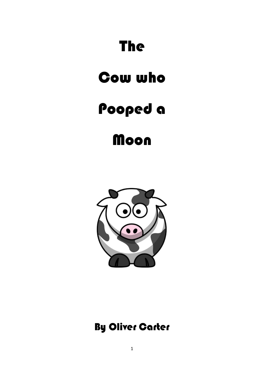## The

## Cow who

## Pooped a

**Moon** 



## By Oliver Carter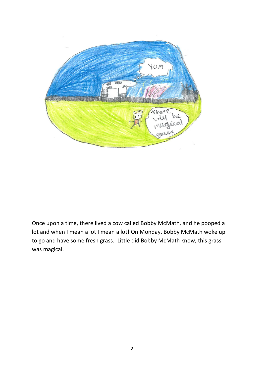

Once upon a time, there lived a cow called Bobby McMath, and he pooped a lot and when I mean a lot I mean a lot! On Monday, Bobby McMath woke up to go and have some fresh grass. Little did Bobby McMath know, this grass was magical.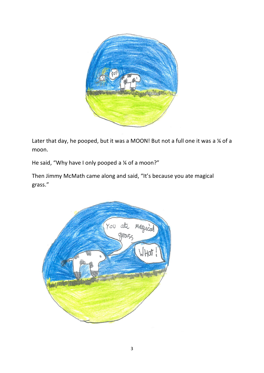

Later that day, he pooped, but it was a MOON! But not a full one it was a  $\frac{1}{4}$  of a moon.

He said, "Why have I only pooped a ¼ of a moon?"

Then Jimmy McMath came along and said, "It's because you ate magical grass."

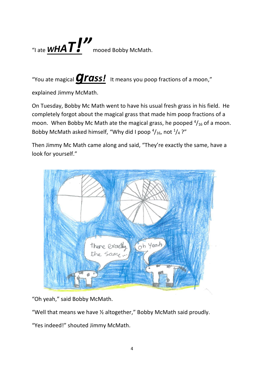

"You ate magical *grass!* It means you poop fractions of a moon,"

explained Jimmy McMath.

On Tuesday, Bobby Mc Math went to have his usual fresh grass in his field. He completely forgot about the magical grass that made him poop fractions of a moon. When Bobby Mc Math ate the magical grass, he pooped  $\frac{4}{16}$  of a moon. Bobby McMath asked himself, "Why did I poop  $\frac{4}{16}$ , not  $\frac{1}{4}$ ?"

Then Jimmy Mc Math came along and said, "They're exactly the same, have a look for yourself."



"Oh yeah," said Bobby McMath.

"Well that means we have ½ altogether," Bobby McMath said proudly.

"Yes indeed!" shouted Jimmy McMath.